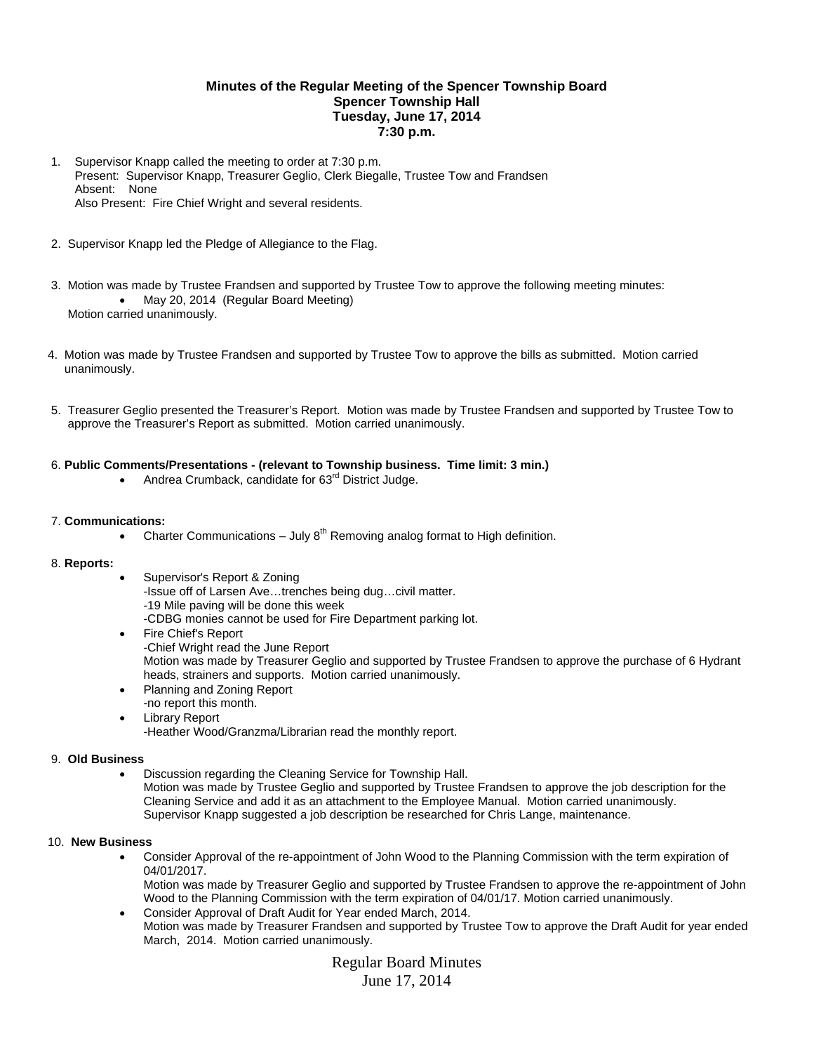# **Minutes of the Regular Meeting of the Spencer Township Board Spencer Township Hall Tuesday, June 17, 2014 7:30 p.m.**

- 1. Supervisor Knapp called the meeting to order at 7:30 p.m. Present: Supervisor Knapp, Treasurer Geglio, Clerk Biegalle, Trustee Tow and Frandsen Absent: None Also Present: Fire Chief Wright and several residents.
- 2. Supervisor Knapp led the Pledge of Allegiance to the Flag.
- 3. Motion was made by Trustee Frandsen and supported by Trustee Tow to approve the following meeting minutes: • May 20, 2014 (Regular Board Meeting) Motion carried unanimously.
- 4. Motion was made by Trustee Frandsen and supported by Trustee Tow to approve the bills as submitted. Motion carried unanimously.
- 5. Treasurer Geglio presented the Treasurer's Report. Motion was made by Trustee Frandsen and supported by Trustee Tow to approve the Treasurer's Report as submitted. Motion carried unanimously.

## 6. **Public Comments/Presentations - (relevant to Township business. Time limit: 3 min.)**

Andrea Crumback, candidate for 63<sup>rd</sup> District Judge.

### 7. **Communications:**

• Charter Communications – July  $8<sup>th</sup>$  Removing analog format to High definition.

#### 8. **Reports:**

- Supervisor's Report & Zoning -Issue off of Larsen Ave…trenches being dug…civil matter. -19 Mile paving will be done this week -CDBG monies cannot be used for Fire Department parking lot.
- Fire Chief's Report -Chief Wright read the June Report Motion was made by Treasurer Geglio and supported by Trustee Frandsen to approve the purchase of 6 Hydrant heads, strainers and supports. Motion carried unanimously.
- Planning and Zoning Report -no report this month.
- Library Report -Heather Wood/Granzma/Librarian read the monthly report.

#### 9. **Old Business**

 Discussion regarding the Cleaning Service for Township Hall. Motion was made by Trustee Geglio and supported by Trustee Frandsen to approve the job description for the Cleaning Service and add it as an attachment to the Employee Manual. Motion carried unanimously. Supervisor Knapp suggested a job description be researched for Chris Lange, maintenance.

#### 10. **New Business**

 Consider Approval of the re-appointment of John Wood to the Planning Commission with the term expiration of 04/01/2017.

Motion was made by Treasurer Geglio and supported by Trustee Frandsen to approve the re-appointment of John Wood to the Planning Commission with the term expiration of 04/01/17. Motion carried unanimously.

 Consider Approval of Draft Audit for Year ended March, 2014. Motion was made by Treasurer Frandsen and supported by Trustee Tow to approve the Draft Audit for year ended March, 2014. Motion carried unanimously.

> Regular Board Minutes June 17, 2014